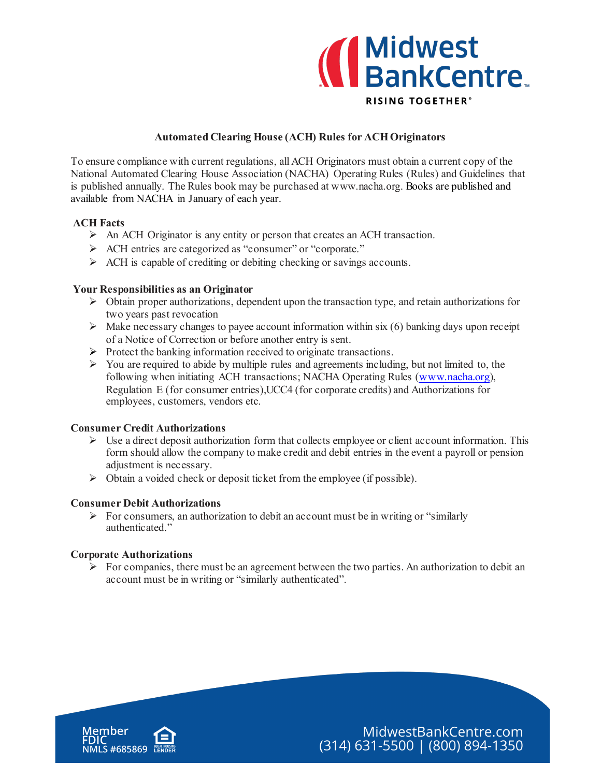

## **Automated Clearing House (ACH) Rules for ACH Originators**

To ensure compliance with current regulations, all ACH Originators must obtain a current copy of the National Automated Clearing House Association (NACHA) Operating Rules (Rules) and Guidelines that is published annually. The Rules book may be purchased at www.nacha.org. Books are published and available from NACHA in January of each year.

## **ACH Facts**

- $\triangleright$  An ACH Originator is any entity or person that creates an ACH transaction.
- ACH entries are categorized as "consumer" or "corporate."
- $\triangleright$  ACH is capable of crediting or debiting checking or savings accounts.

## **Your Responsibilities as an Originator**

- $\triangleright$  Obtain proper authorizations, dependent upon the transaction type, and retain authorizations for two years past revocation
- $\triangleright$  Make necessary changes to payee account information within six (6) banking days upon receipt of a Notice of Correction or before another entry is sent.
- $\triangleright$  Protect the banking information received to originate transactions.
- $\triangleright$  You are required to abide by multiple rules and agreements including, but not limited to, the following when initiating ACH transactions; NACHA Operating Rules [\(www.nacha.org](http://www.nacha.org/)), Regulation E (for consumer entries),UCC4 (for corporate credits) and Authorizations for employees, customers, vendors etc.

#### **Consumer Credit Authorizations**

- $\triangleright$  Use a direct deposit authorization form that collects employee or client account information. This form should allow the company to make credit and debit entries in the event a payroll or pension adjustment is necessary.
- Obtain a voided check or deposit ticket from the employee (if possible).

#### **Consumer Debit Authorizations**

 $\triangleright$  For consumers, an authorization to debit an account must be in writing or "similarly" authenticated."

#### **Corporate Authorizations**

 $\triangleright$  For companies, there must be an agreement between the two parties. An authorization to debit an account must be in writing or "similarly authenticated".